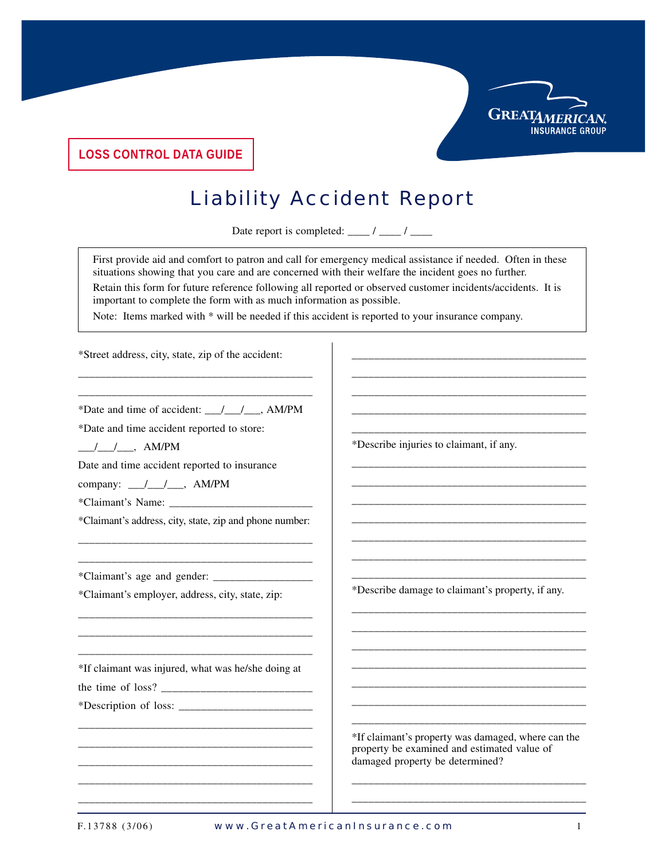

**LOSS CONTROL DATA GUIDE**

## Liability Accident Report

Date report is completed:  $\frac{\ }{\ }$  / \_\_\_\_ / \_\_\_\_

First provide aid and comfort to patron and call for emergency medical assistance if needed. Often in these situations showing that you care and are concerned with their welfare the incident goes no further.

Retain this form for future reference following all reported or observed customer incidents/accidents. It is important to complete the form with as much information as possible.

Note: Items marked with \* will be needed if this accident is reported to your insurance company.

\*Street address, city, state, zip of the accident:

\_\_\_\_\_\_\_\_\_\_\_\_\_\_\_\_\_\_\_\_\_\_\_\_\_\_\_\_\_\_\_\_\_\_\_\_\_\_\_\_\_\_ \*Date and time of accident: \_\_\_/\_\_\_/\_\_\_, AM/PM

\_\_\_\_\_\_\_\_\_\_\_\_\_\_\_\_\_\_\_\_\_\_\_\_\_\_\_\_\_\_\_\_\_\_\_\_\_\_\_\_\_\_

\*Date and time accident reported to store:

 $\frac{1}{2}$  /  $\frac{1}{2}$ , AM/PM

Date and time accident reported to insurance

company: \_\_\_/\_\_\_/\_\_\_, AM/PM

\*Claimant's Name: \_\_\_\_\_\_\_\_\_\_\_\_\_\_\_\_\_\_\_\_\_\_\_\_\_\_

\*Claimant's address, city, state, zip and phone number: \_\_\_\_\_\_\_\_\_\_\_\_\_\_\_\_\_\_\_\_\_\_\_\_\_\_\_\_\_\_\_\_\_\_\_\_\_\_\_\_\_\_

\_\_\_\_\_\_\_\_\_\_\_\_\_\_\_\_\_\_\_\_\_\_\_\_\_\_\_\_\_\_\_\_\_\_\_\_\_\_\_\_\_\_

\_\_\_\_\_\_\_\_\_\_\_\_\_\_\_\_\_\_\_\_\_\_\_\_\_\_\_\_\_\_\_\_\_\_\_\_\_\_\_\_\_\_ \_\_\_\_\_\_\_\_\_\_\_\_\_\_\_\_\_\_\_\_\_\_\_\_\_\_\_\_\_\_\_\_\_\_\_\_\_\_\_\_\_\_

\*Claimant's age and gender: \_\_\_\_\_\_\_\_\_\_\_\_\_\_\_\_\_\_

\*Claimant's employer, address, city, state, zip:

\_\_\_\_\_\_\_\_\_\_\_\_\_\_\_\_\_\_\_\_\_\_\_\_\_\_\_\_\_\_\_\_\_\_\_\_\_\_\_\_\_\_ \*If claimant was injured, what was he/she doing at

\_\_\_\_\_\_\_\_\_\_\_\_\_\_\_\_\_\_\_\_\_\_\_\_\_\_\_\_\_\_\_\_\_\_\_\_\_\_\_\_\_\_ \_\_\_\_\_\_\_\_\_\_\_\_\_\_\_\_\_\_\_\_\_\_\_\_\_\_\_\_\_\_\_\_\_\_\_\_\_\_\_\_\_\_ \_\_\_\_\_\_\_\_\_\_\_\_\_\_\_\_\_\_\_\_\_\_\_\_\_\_\_\_\_\_\_\_\_\_\_\_\_\_\_\_\_\_ \_\_\_\_\_\_\_\_\_\_\_\_\_\_\_\_\_\_\_\_\_\_\_\_\_\_\_\_\_\_\_\_\_\_\_\_\_\_\_\_\_\_ \_\_\_\_\_\_\_\_\_\_\_\_\_\_\_\_\_\_\_\_\_\_\_\_\_\_\_\_\_\_\_\_\_\_\_\_\_\_\_\_\_\_

the time of loss?

\*Description of loss: \_\_\_\_\_\_\_\_\_\_\_\_\_\_\_\_\_\_\_\_\_\_\_\_

\*Describe injuries to claimant, if any. \_\_\_\_\_\_\_\_\_\_\_\_\_\_\_\_\_\_\_\_\_\_\_\_\_\_\_\_\_\_\_\_\_\_\_\_\_\_\_\_\_\_

\_\_\_\_\_\_\_\_\_\_\_\_\_\_\_\_\_\_\_\_\_\_\_\_\_\_\_\_\_\_\_\_\_\_\_\_\_\_\_\_\_\_ \_\_\_\_\_\_\_\_\_\_\_\_\_\_\_\_\_\_\_\_\_\_\_\_\_\_\_\_\_\_\_\_\_\_\_\_\_\_\_\_\_\_ \_\_\_\_\_\_\_\_\_\_\_\_\_\_\_\_\_\_\_\_\_\_\_\_\_\_\_\_\_\_\_\_\_\_\_\_\_\_\_\_\_\_ \_\_\_\_\_\_\_\_\_\_\_\_\_\_\_\_\_\_\_\_\_\_\_\_\_\_\_\_\_\_\_\_\_\_\_\_\_\_\_\_\_\_ \_\_\_\_\_\_\_\_\_\_\_\_\_\_\_\_\_\_\_\_\_\_\_\_\_\_\_\_\_\_\_\_\_\_\_\_\_\_\_\_\_\_

\_\_\_\_\_\_\_\_\_\_\_\_\_\_\_\_\_\_\_\_\_\_\_\_\_\_\_\_\_\_\_\_\_\_\_\_\_\_\_\_\_\_ \_\_\_\_\_\_\_\_\_\_\_\_\_\_\_\_\_\_\_\_\_\_\_\_\_\_\_\_\_\_\_\_\_\_\_\_\_\_\_\_\_\_ \_\_\_\_\_\_\_\_\_\_\_\_\_\_\_\_\_\_\_\_\_\_\_\_\_\_\_\_\_\_\_\_\_\_\_\_\_\_\_\_\_\_ \_\_\_\_\_\_\_\_\_\_\_\_\_\_\_\_\_\_\_\_\_\_\_\_\_\_\_\_\_\_\_\_\_\_\_\_\_\_\_\_\_\_ \_\_\_\_\_\_\_\_\_\_\_\_\_\_\_\_\_\_\_\_\_\_\_\_\_\_\_\_\_\_\_\_\_\_\_\_\_\_\_\_\_\_ \_\_\_\_\_\_\_\_\_\_\_\_\_\_\_\_\_\_\_\_\_\_\_\_\_\_\_\_\_\_\_\_\_\_\_\_\_\_\_\_\_\_

\*Describe damage to claimant's property, if any.

\_\_\_\_\_\_\_\_\_\_\_\_\_\_\_\_\_\_\_\_\_\_\_\_\_\_\_\_\_\_\_\_\_\_\_\_\_\_\_\_\_\_ \_\_\_\_\_\_\_\_\_\_\_\_\_\_\_\_\_\_\_\_\_\_\_\_\_\_\_\_\_\_\_\_\_\_\_\_\_\_\_\_\_\_ \_\_\_\_\_\_\_\_\_\_\_\_\_\_\_\_\_\_\_\_\_\_\_\_\_\_\_\_\_\_\_\_\_\_\_\_\_\_\_\_\_\_ \_\_\_\_\_\_\_\_\_\_\_\_\_\_\_\_\_\_\_\_\_\_\_\_\_\_\_\_\_\_\_\_\_\_\_\_\_\_\_\_\_\_ \_\_\_\_\_\_\_\_\_\_\_\_\_\_\_\_\_\_\_\_\_\_\_\_\_\_\_\_\_\_\_\_\_\_\_\_\_\_\_\_\_\_ \_\_\_\_\_\_\_\_\_\_\_\_\_\_\_\_\_\_\_\_\_\_\_\_\_\_\_\_\_\_\_\_\_\_\_\_\_\_\_\_\_\_ \_\_\_\_\_\_\_\_\_\_\_\_\_\_\_\_\_\_\_\_\_\_\_\_\_\_\_\_\_\_\_\_\_\_\_\_\_\_\_\_\_\_

\*If claimant's property was damaged, where can the property be examined and estimated value of damaged property be determined?

\_\_\_\_\_\_\_\_\_\_\_\_\_\_\_\_\_\_\_\_\_\_\_\_\_\_\_\_\_\_\_\_\_\_\_\_\_\_\_\_\_\_ \_\_\_\_\_\_\_\_\_\_\_\_\_\_\_\_\_\_\_\_\_\_\_\_\_\_\_\_\_\_\_\_\_\_\_\_\_\_\_\_\_\_